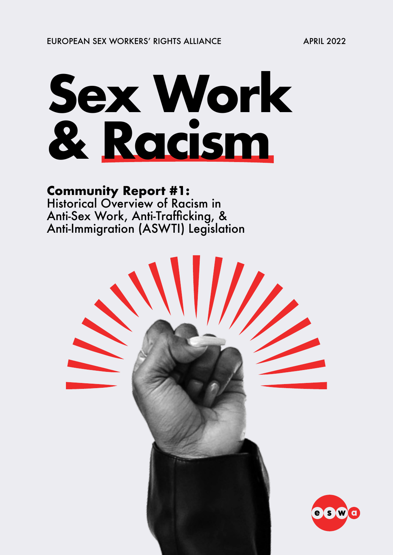# **Sex Work & Racism**

### **Community Report #1:**

Historical Overview of Racism in Anti-Sex Work, Anti-Trafficking, & Anti-Immigration (ASWTI) Legislation

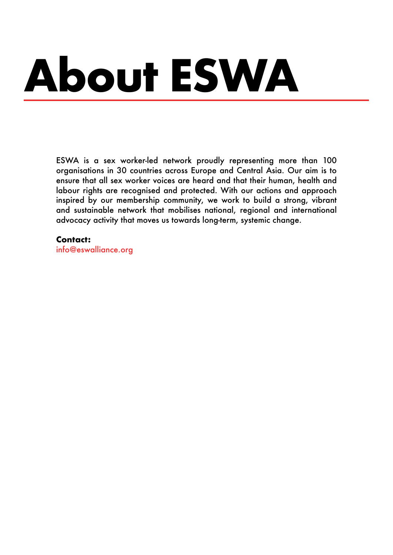# **About ESWA**

ESWA is a sex worker-led network proudly representing more than 100 organisations in 30 countries across Europe and Central Asia. Our aim is to ensure that all sex worker voices are heard and that their human, health and labour rights are recognised and protected. With our actions and approach inspired by our membership community, we work to build a strong, vibrant and sustainable network that mobilises national, regional and international advocacy activity that moves us towards long-term, systemic change.

#### **Contact:**

[info@eswalliance.org](mailto:info%40eswalliance.org?subject=)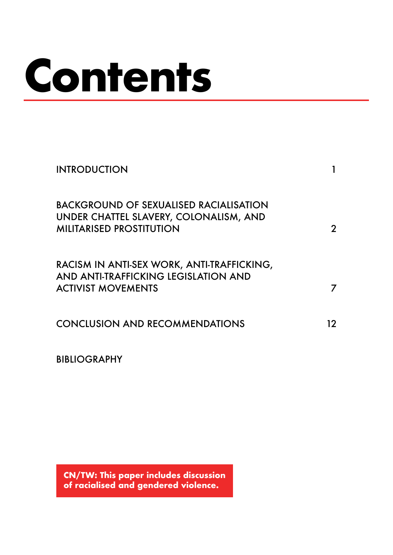# **Contents**

| <b>INTRODUCTION</b>                                                                                                        |    |
|----------------------------------------------------------------------------------------------------------------------------|----|
| <b>BACKGROUND OF SEXUALISED RACIALISATION</b><br>UNDER CHATTEL SLAVERY, COLONALISM, AND<br><b>MILITARISED PROSTITUTION</b> |    |
| RACISM IN ANTI-SEX WORK, ANTI-TRAFFICKING,<br>AND ANTI-TRAFFICKING LEGISLATION AND<br><b>ACTIVIST MOVEMENTS</b>            |    |
| <b>CONCLUSION AND RECOMMENDATIONS</b>                                                                                      | 12 |

[BIBLIOGRAPHY](#page-18-0)

**CN/TW: This paper includes discussion of racialised and gendered violence.**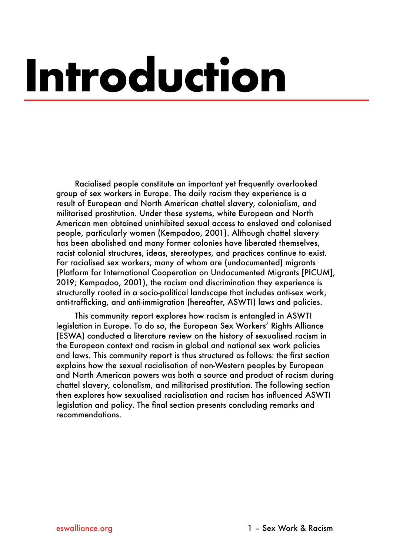# <span id="page-3-0"></span>**Introduction**

Racialised people constitute an important yet frequently overlooked group of sex workers in Europe. The daily racism they experience is a result of European and North American chattel slavery, colonialism, and militarised prostitution. Under these systems, white European and North American men obtained uninhibited sexual access to enslaved and colonised people, particularly women (Kempadoo, 2001). Although chattel slavery has been abolished and many former colonies have liberated themselves, racist colonial structures, ideas, stereotypes, and practices continue to exist. For racialised sex workers, many of whom are (undocumented) migrants (Platform for International Cooperation on Undocumented Migrants [PICUM], 2019; Kempadoo, 2001), the racism and discrimination they experience is structurally rooted in a socio-political landscape that includes anti-sex work, anti-trafficking, and anti-immigration (hereafter, ASWTI) laws and policies.

This community report explores how racism is entangled in ASWTI legislation in Europe. To do so, the European Sex Workers' Rights Alliance (ESWA) conducted a literature review on the history of sexualised racism in the European context and racism in global and national sex work policies and laws. This community report is thus structured as follows: the first section explains how the sexual racialisation of non-Western peoples by European and North American powers was both a source and product of racism during chattel slavery, colonalism, and militarised prostitution. The following section then explores how sexualised racialisation and racism has influenced ASWTI legislation and policy. The final section presents concluding remarks and recommendations.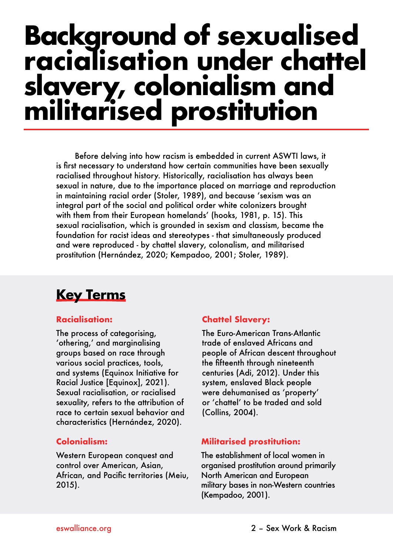# <span id="page-4-0"></span>**Background of sexualised racialisation under chattel slavery, colonialism and militarised prostitution**

Before delving into how racism is embedded in current ASWTI laws, it is first necessary to understand how certain communities have been sexually racialised throughout history. Historically, racialisation has always been sexual in nature, due to the importance placed on marriage and reproduction in maintaining racial order (Stoler, 1989), and because 'sexism was an integral part of the social and political order white colonizers brought with them from their European homelands' (hooks, 1981, p. 15). This sexual racialisation, which is grounded in sexism and classism, became the foundation for racist ideas and stereotypes - that simultaneously produced and were reproduced - by chattel slavery, colonalism, and militarised prostitution (Hernández, 2020; Kempadoo, 2001; Stoler, 1989).

## **Key Terms**

#### **Racialisation:**

The process of categorising, 'othering,' and marginalising groups based on race through various social practices, tools, and systems (Equinox Initiative for Racial Justice [Equinox], 2021). Sexual racialisation, or racialised sexuality, refers to the attribution of race to certain sexual behavior and characteristics (Hernández, 2020).

#### **Colonialism:**

Western European conquest and control over American, Asian, African, and Pacific territories (Meiu, 2015).

#### **Chattel Slavery:**

The Euro-American Trans-Atlantic trade of enslaved Africans and people of African descent throughout the fifteenth through nineteenth centuries (Adi, 2012). Under this system, enslaved Black people were dehumanised as 'property' or 'chattel' to be traded and sold (Collins, 2004).

#### **Militarised prostitution:**

The establishment of local women in organised prostitution around primarily North American and European military bases in non-Western countries (Kempadoo, 2001).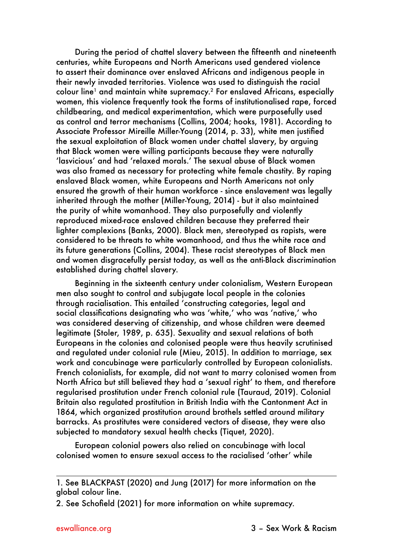During the period of chattel slavery between the fifteenth and nineteenth centuries, white Europeans and North Americans used gendered violence to assert their dominance over enslaved Africans and indigenous people in their newly invaded territories. Violence was used to distinguish the racial colour line<sup>1</sup> and maintain white supremacy.<sup>2</sup> For enslaved Africans, especially women, this violence frequently took the forms of institutionalised rape, forced childbearing, and medical experimentation, which were purposefully used as control and terror mechanisms (Collins, 2004; hooks, 1981). According to Associate Professor Mireille Miller-Young (2014, p. 33), white men justified the sexual exploitation of Black women under chattel slavery, by arguing that Black women were willing participants because they were naturally 'lasvicious' and had 'relaxed morals.' The sexual abuse of Black women was also framed as necessary for protecting white female chastity. By raping enslaved Black women, white Europeans and North Americans not only ensured the growth of their human workforce - since enslavement was legally inherited through the mother (Miller-Young, 2014) - but it also maintained the purity of white womanhood. They also purposefully and violently reproduced mixed-race enslaved children because they preferred their lighter complexions (Banks, 2000). Black men, stereotyped as rapists, were considered to be threats to white womanhood, and thus the white race and its future generations (Collins, 2004). These racist stereotypes of Black men and women disgracefully persist today, as well as the anti-Black discrimination established during chattel slavery.

Beginning in the sixteenth century under colonialism, Western European men also sought to control and subjugate local people in the colonies through racialisation. This entailed 'constructing categories, legal and social classifications designating who was 'white,' who was 'native,' who was considered deserving of citizenship, and whose children were deemed legitimate (Stoler, 1989, p. 635). Sexuality and sexual relations of both Europeans in the colonies and colonised people were thus heavily scrutinised and regulated under colonial rule (Mieu, 2015). In addition to marriage, sex work and concubinage were particularly controlled by European colonialists. French colonialists, for example, did not want to marry colonised women from North Africa but still believed they had a 'sexual right' to them, and therefore regularised prostitution under French colonial rule (Tauraud, 2019). Colonial Britain also regulated prostitution in British India with the Cantonment Act in 1864, which organized prostitution around brothels settled around military barracks. As prostitutes were considered vectors of disease, they were also subjected to mandatory sexual health checks (Tiquet, 2020).

European colonial powers also relied on concubinage with local colonised women to ensure sexual access to the racialised 'other' while

<sup>1.</sup> See BLACKPAST (2020) and Jung (2017) for more information on the global colour line.

<sup>2.</sup> See Schofield (2021) for more information on white supremacy.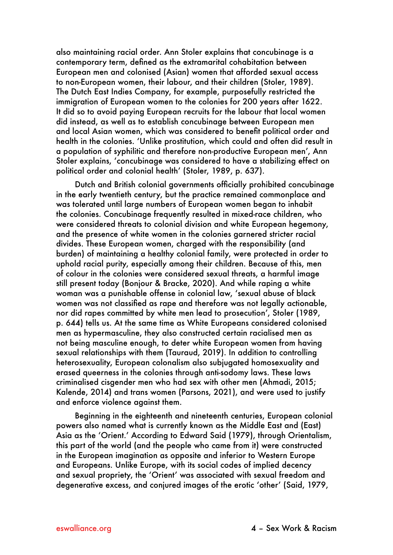also maintaining racial order. Ann Stoler explains that concubinage is a contemporary term, defined as the extramarital cohabitation between European men and colonised (Asian) women that afforded sexual access to non-European women, their labour, and their children (Stoler, 1989). The Dutch East Indies Company, for example, purposefully restricted the immigration of European women to the colonies for 200 years after 1622. It did so to avoid paying European recruits for the labour that local women did instead, as well as to establish concubinage between European men and local Asian women, which was considered to benefit political order and health in the colonies. 'Unlike prostitution, which could and often did result in a population of syphilitic and therefore non-productive European men', Ann Stoler explains, 'concubinage was considered to have a stabilizing effect on political order and colonial health' (Stoler, 1989, p. 637).

Dutch and British colonial governments officially prohibited concubinage in the early twentieth century, but the practice remained commonplace and was tolerated until large numbers of European women began to inhabit the colonies. Concubinage frequently resulted in mixed-race children, who were considered threats to colonial division and white European hegemony, and the presence of white women in the colonies garnered stricter racial divides. These European women, charged with the responsibility (and burden) of maintaining a healthy colonial family, were protected in order to uphold racial purity, especially among their children. Because of this, men of colour in the colonies were considered sexual threats, a harmful image still present today (Bonjour & Bracke, 2020). And while raping a white woman was a punishable offense in colonial law, 'sexual abuse of black women was not classified as rape and therefore was not legally actionable, nor did rapes committed by white men lead to prosecution', Stoler (1989, p. 644) tells us. At the same time as White Europeans considered colonised men as hypermasculine, they also constructed certain racialised men as not being masculine enough, to deter white European women from having sexual relationships with them (Tauraud, 2019). In addition to controlling heterosexuality, European colonalism also subjugated homosexuality and erased queerness in the colonies through anti-sodomy laws. These laws criminalised cisgender men who had sex with other men (Ahmadi, 2015; Kalende, 2014) and trans women (Parsons, 2021), and were used to justify and enforce violence against them.

Beginning in the eighteenth and nineteenth centuries, European colonial powers also named what is currently known as the Middle East and (East) Asia as the 'Orient.' According to Edward Said (1979), through Orientalism, this part of the world (and the people who came from it) were constructed in the European imagination as opposite and inferior to Western Europe and Europeans. Unlike Europe, with its social codes of implied decency and sexual propriety, the 'Orient' was associated with sexual freedom and degenerative excess, and conjured images of the erotic 'other' (Said, 1979,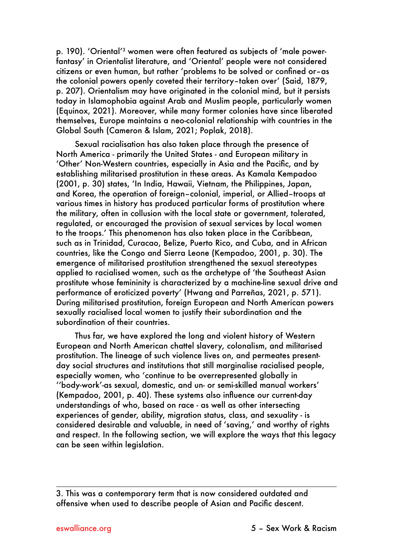p. 190). 'Oriental'<sup>3</sup> women were often featured as subjects of 'male powerfantasy' in Orientalist literature, and 'Oriental' people were not considered citizens or even human, but rather 'problems to be solved or confined or–as the colonial powers openly coveted their territory–taken over' (Said, 1879, p. 207). Orientalism may have originated in the colonial mind, but it persists today in Islamophobia against Arab and Muslim people, particularly women (Equinox, 2021). Moreover, while many former colonies have since liberated themselves, Europe maintains a neo-colonial relationship with countries in the Global South (Cameron & Islam, 2021; Poplak, 2018).

Sexual racialisation has also taken place through the presence of North America - primarily the United States - and European military in 'Other' Non-Western countries, especially in Asia and the Pacific, and by establishing militarised prostitution in these areas. As Kamala Kempadoo (2001, p. 30) states, 'In India, Hawaii, Vietnam, the Philippines, Japan, and Korea, the operation of foreign–colonial, imperial, or Allied–troops at various times in history has produced particular forms of prostitution where the military, often in collusion with the local state or government, tolerated, regulated, or encouraged the provision of sexual services by local women to the troops.' This phenomenon has also taken place in the Caribbean, such as in Trinidad, Curacao, Belize, Puerto Rico, and Cuba, and in African countries, like the Congo and Sierra Leone (Kempadoo, 2001, p. 30). The emergence of militarised prostitution strengthened the sexual stereotypes applied to racialised women, such as the archetype of 'the Southeast Asian prostitute whose femininity is characterized by a machine-line sexual drive and performance of eroticized poverty' (Hwang and Parreñas, 2021, p. 571). During militarised prostitution, foreign European and North American powers sexually racialised local women to justify their subordination and the subordination of their countries.

Thus far, we have explored the long and violent history of Western European and North American chattel slavery, colonalism, and militarised prostitution. The lineage of such violence lives on, and permeates presentday social structures and institutions that still marginalise racialised people, especially women, who 'continue to be overrepresented globally in ''body-work'-as sexual, domestic, and un- or semi-skilled manual workers' (Kempadoo, 2001, p. 40). These systems also influence our current-day understandings of who, based on race - as well as other intersecting experiences of gender, ability, migration status, class, and sexuality - is considered desirable and valuable, in need of 'saving,' and worthy of rights and respect. In the following section, we will explore the ways that this legacy can be seen within leaislation.

<sup>3.</sup> This was a contemporary term that is now considered outdated and offensive when used to describe people of Asian and Pacific descent.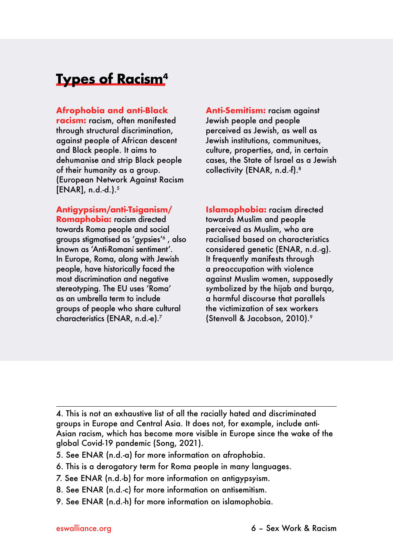### **Types of Racism4**

**Afrophobia and anti-Black** 

**racism:** racism, often manifested through structural discrimination, against people of African descent and Black people. It aims to dehumanise and strip Black people of their humanity as a group. (European Network Against Racism  $[ENAR]$ , n.d.-d.).<sup>5</sup>

**Antigypsism/anti-Tsiganism/**

**Romaphobia:** racism directed towards Roma people and social groups stigmatised as 'gypsies'6 , also known as 'Anti-Romani sentiment'. In Europe, Roma, along with Jewish people, have historically faced the most discrimination and negative stereotyping. The EU uses 'Roma' as an umbrella term to include groups of people who share cultural characteristics (ENAR, n.d.-e).7

**Anti-Semitism:** racism against Jewish people and people perceived as Jewish, as well as Jewish institutions, communitues, culture, properties, and, in certain cases, the State of Israel as a Jewish collectivity (ENAR, n.d.-f).8

**Islamophobia:** racism directed towards Muslim and people perceived as Muslim, who are racialised based on characteristics considered genetic (ENAR, n.d.-g). It frequently manifests through a preoccupation with violence against Muslim women, supposedly symbolized by the hijab and burqa, a harmful discourse that parallels the victimization of sex workers (Stenvoll & Jacobson, 2010).9

4. This is not an exhaustive list of all the racially hated and discriminated groups in Europe and Central Asia. It does not, for example, include anti-Asian racism, which has become more visible in Europe since the wake of the global Covid-19 pandemic (Song, 2021).

- 5. See ENAR (n.d.-a) for more information on afrophobia.
- 6. This is a derogatory term for Roma people in many languages.
- 7. See ENAR (n.d.-b) for more information on antigypsyism.
- 8. See ENAR (n.d.-c) for more information on antisemitism.
- 9. See ENAR (n.d.-h) for more information on islamophobia.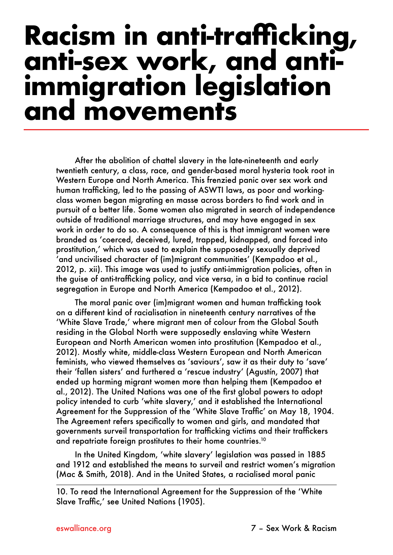## <span id="page-9-0"></span>**Racism in anti-trafficking, anti-sex work, and antiimmigration legislation and movements**

After the abolition of chattel slavery in the late-nineteenth and early twentieth century, a class, race, and gender-based moral hysteria took root in Western Europe and North America. This frenzied panic over sex work and human trafficking, led to the passing of ASWTI laws, as poor and workingclass women began migrating en masse across borders to find work and in pursuit of a better life. Some women also migrated in search of independence outside of traditional marriage structures, and may have engaged in sex work in order to do so. A consequence of this is that immigrant women were branded as 'coerced, deceived, lured, trapped, kidnapped, and forced into prostitution,' which was used to explain the supposedly sexually deprived 'and uncivilised character of (im)migrant communities' (Kempadoo et al., 2012, p. xii). This image was used to justify anti-immigration policies, often in the guise of anti-trafficking policy, and vice versa, in a bid to continue racial segregation in Europe and North America (Kempadoo et al., 2012).

The moral panic over (im)migrant women and human trafficking took on a different kind of racialisation in nineteenth century narratives of the 'White Slave Trade,' where migrant men of colour from the Global South residing in the Global North were supposedly enslaving white Western European and North American women into prostitution (Kempadoo et al., 2012). Mostly white, middle-class Western European and North American feminists, who viewed themselves as 'saviours', saw it as their duty to 'save' their 'fallen sisters' and furthered a 'rescue industry' (Agustín, 2007) that ended up harming migrant women more than helping them (Kempadoo et al., 2012). The United Nations was one of the first global powers to adopt policy intended to curb 'white slavery,' and it established the International Agreement for the Suppression of the 'White Slave Traffic' on May 18, 1904. The Agreement refers specifically to women and girls, and mandated that governments surveil transportation for trafficking victims and their traffickers and repatriate foreign prostitutes to their home countries.10

In the United Kingdom, 'white slavery' legislation was passed in 1885 and 1912 and established the means to surveil and restrict women's migration (Mac & Smith, 2018). And in the United States, a racialised moral panic

<sup>10.</sup> To read the International Agreement for the Suppression of the 'White Slave Traffic,' see United Nations (1905).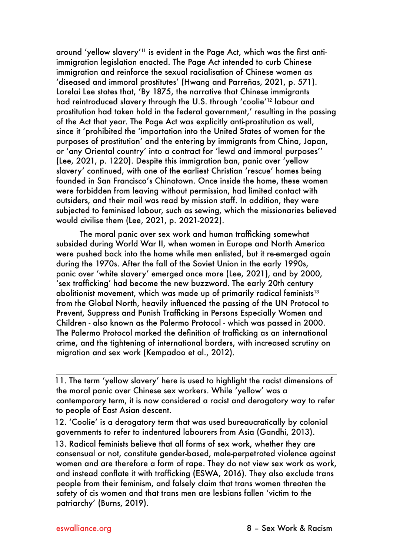around 'yellow slavery'11 is evident in the Page Act, which was the first antiimmigration legislation enacted. The Page Act intended to curb Chinese immigration and reinforce the sexual racialisation of Chinese women as 'diseased and immoral prostitutes' (Hwang and Parreñas, 2021, p. 571). Lorelai Lee states that, 'By 1875, the narrative that Chinese immigrants had reintroduced slavery through the U.S. through 'coolie'12 labour and prostitution had taken hold in the federal government,' resulting in the passing of the Act that year. The Page Act was explicitly anti-prostitution as well, since it 'prohibited the 'importation into the United States of women for the purposes of prostitution' and the entering by immigrants from China, Japan, or 'any Oriental country' into a contract for 'lewd and immoral purposes'' (Lee, 2021, p. 1220). Despite this immigration ban, panic over 'yellow slavery' continued, with one of the earliest Christian 'rescue' homes being founded in San Francisco's Chinatown. Once inside the home, these women were forbidden from leaving without permission, had limited contact with outsiders, and their mail was read by mission staff. In addition, they were subjected to feminised labour, such as sewing, which the missionaries believed would civilise them (Lee, 2021, p. 2021-2022).

The moral panic over sex work and human trafficking somewhat subsided during World War II, when women in Europe and North America were pushed back into the home while men enlisted, but it re-emerged again during the 1970s. After the fall of the Soviet Union in the early 1990s, panic over 'white slavery' emerged once more (Lee, 2021), and by 2000, 'sex trafficking' had become the new buzzword. The early 20th century abolitionist movement, which was made up of primarily radical feminists $13$ from the Global North, heavily influenced the passing of the UN Protocol to Prevent, Suppress and Punish Trafficking in Persons Especially Women and Children - also known as the Palermo Protocol - which was passed in 2000. The Palermo Protocol marked the definition of trafficking as an international crime, and the tightening of international borders, with increased scrutiny on migration and sex work (Kempadoo et al., 2012).

11. The term 'yellow slavery' here is used to highlight the racist dimensions of the moral panic over Chinese sex workers. While 'yellow' was a contemporary term, it is now considered a racist and derogatory way to refer to people of East Asian descent.

12. 'Coolie' is a derogatory term that was used bureaucratically by colonial governments to refer to indentured labourers from Asia (Gandhi, 2013).

13. Radical feminists believe that all forms of sex work, whether they are consensual or not, constitute gender-based, male-perpetrated violence against women and are therefore a form of rape. They do not view sex work as work, and instead conflate it with trafficking (ESWA, 2016). They also exclude trans people from their feminism, and falsely claim that trans women threaten the safety of cis women and that trans men are lesbians fallen 'victim to the patriarchy' (Burns, 2019).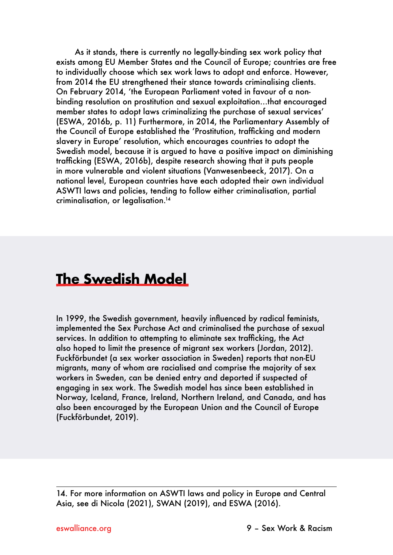As it stands, there is currently no legally-binding sex work policy that exists among EU Member States and the Council of Europe; countries are free to individually choose which sex work laws to adopt and enforce. However, from 2014 the EU strengthened their stance towards criminalising clients. On February 2014, 'the European Parliament voted in favour of a nonbinding resolution on prostitution and sexual exploitation…that encouraged member states to adopt laws criminalizing the purchase of sexual services' (ESWA, 2016b, p. 11) Furthermore, in 2014, the Parliamentary Assembly of the Council of Europe established the 'Prostitution, trafficking and modern slavery in Europe' resolution, which encourages countries to adopt the Swedish model, because it is argued to have a positive impact on diminishing trafficking (ESWA, 2016b), despite research showing that it puts people in more vulnerable and violent situations (Vanwesenbeeck, 2017). On a national level, European countries have each adopted their own individual ASWTI laws and policies, tending to follow either criminalisation, partial criminalisation, or legalisation.14

### **The Swedish Model**

In 1999, the Swedish government, heavily influenced by radical feminists, implemented the Sex Purchase Act and criminalised the purchase of sexual services. In addition to attempting to eliminate sex trafficking, the Act also hoped to limit the presence of migrant sex workers (Jordan, 2012). Fuckförbundet (a sex worker association in Sweden) reports that non-EU migrants, many of whom are racialised and comprise the majority of sex workers in Sweden, can be denied entry and deported if suspected of engaging in sex work. The Swedish model has since been established in Norway, Iceland, France, Ireland, Northern Ireland, and Canada, and has also been encouraged by the European Union and the Council of Europe (Fuckförbundet, 2019).

<sup>14.</sup> For more information on ASWTI laws and policy in Europe and Central Asia, see di Nicola (2021), SWAN (2019), and ESWA (2016).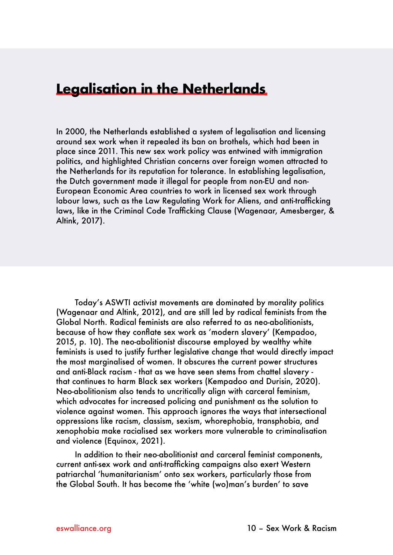### **Legalisation in the Netherlands**

In 2000, the Netherlands established a system of legalisation and licensing around sex work when it repealed its ban on brothels, which had been in place since 2011. This new sex work policy was entwined with immigration politics, and highlighted Christian concerns over foreign women attracted to the Netherlands for its reputation for tolerance. In establishing legalisation, the Dutch government made it illegal for people from non-EU and non-European Economic Area countries to work in licensed sex work through labour laws, such as the Law Regulating Work for Aliens, and anti-trafficking laws, like in the Criminal Code Trafficking Clause (Wagenaar, Amesberger, & Altink, 2017).

Today's ASWTI activist movements are dominated by morality politics (Wagenaar and Altink, 2012), and are still led by radical feminists from the Global North. Radical feminists are also referred to as neo-abolitionists, because of how they conflate sex work as 'modern slavery' (Kempadoo, 2015, p. 10). The neo-abolitionist discourse employed by wealthy white feminists is used to justify further legislative change that would directly impact the most marginalised of women. It obscures the current power structures and anti-Black racism - that as we have seen stems from chattel slavery that continues to harm Black sex workers (Kempadoo and Durisin, 2020). Neo-abolitionism also tends to uncritically align with carceral feminism, which advocates for increased policing and punishment as the solution to violence against women. This approach ignores the ways that intersectional oppressions like racism, classism, sexism, whorephobia, transphobia, and xenophobia make racialised sex workers more vulnerable to criminalisation and violence (Equinox, 2021).

In addition to their neo-abolitionist and carceral feminist components, current anti-sex work and anti-trafficking campaigns also exert Western patriarchal 'humanitarianism' onto sex workers, particularly those from the Global South. It has become the 'white (wo)man's burden' to save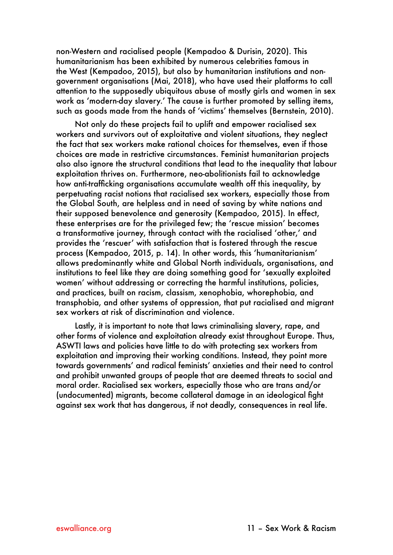non-Western and racialised people (Kempadoo & Durisin, 2020). This humanitarianism has been exhibited by numerous celebrities famous in the West (Kempadoo, 2015), but also by humanitarian institutions and nongovernment organisations (Mai, 2018), who have used their platforms to call attention to the supposedly ubiquitous abuse of mostly girls and women in sex work as 'modern-day slavery.' The cause is further promoted by selling items, such as goods made from the hands of 'victims' themselves (Bernstein, 2010).

Not only do these projects fail to uplift and empower racialised sex workers and survivors out of exploitative and violent situations, they neglect the fact that sex workers make rational choices for themselves, even if those choices are made in restrictive circumstances. Feminist humanitarian projects also also ignore the structural conditions that lead to the inequality that labour exploitation thrives on. Furthermore, neo-abolitionists fail to acknowledge how anti-trafficking organisations accumulate wealth off this inequality, by perpetuating racist notions that racialised sex workers, especially those from the Global South, are helpless and in need of saving by white nations and their supposed benevolence and generosity (Kempadoo, 2015). In effect, these enterprises are for the privileged few; the 'rescue mission' becomes a transformative journey, through contact with the racialised 'other,' and provides the 'rescuer' with satisfaction that is fostered through the rescue process (Kempadoo, 2015, p. 14). In other words, this 'humanitarianism' allows predominantly white and Global North individuals, organisations, and institutions to feel like they are doing something good for 'sexually exploited women' without addressing or correcting the harmful institutions, policies, and practices, built on racism, classism, xenophobia, whorephobia, and transphobia, and other systems of oppression, that put racialised and migrant sex workers at risk of discrimination and violence.

Lastly, it is important to note that laws criminalising slavery, rape, and other forms of violence and exploitation already exist throughout Europe. Thus, ASWTI laws and policies have little to do with protecting sex workers from exploitation and improving their working conditions. Instead, they point more towards governments' and radical feminists' anxieties and their need to control and prohibit unwanted groups of people that are deemed threats to social and moral order. Racialised sex workers, especially those who are trans and/or (undocumented) migrants, become collateral damage in an ideological fight against sex work that has dangerous, if not deadly, consequences in real life.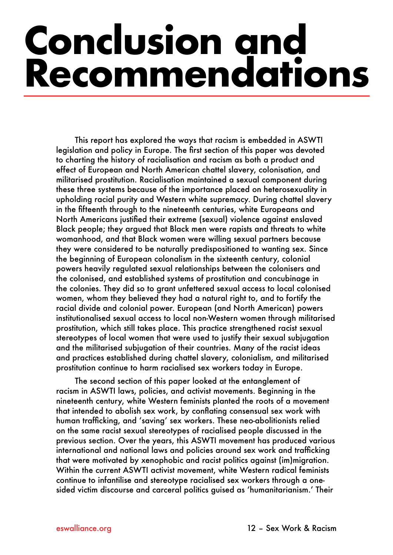# <span id="page-14-0"></span>**Conclusion and Recommendations**

This report has explored the ways that racism is embedded in ASWTI legislation and policy in Europe. The first section of this paper was devoted to charting the history of racialisation and racism as both a product and effect of European and North American chattel slavery, colonisation, and militarised prostitution. Racialisation maintained a sexual component during these three systems because of the importance placed on heterosexuality in upholding racial purity and Western white supremacy. During chattel slavery in the fifteenth through to the nineteenth centuries, white Europeans and North Americans justified their extreme (sexual) violence against enslaved Black people; they argued that Black men were rapists and threats to white womanhood, and that Black women were willing sexual partners because they were considered to be naturally predispositioned to wanting sex. Since the beginning of European colonalism in the sixteenth century, colonial powers heavily regulated sexual relationships between the colonisers and the colonised, and established systems of prostitution and concubinage in the colonies. They did so to grant unfettered sexual access to local colonised women, whom they believed they had a natural right to, and to fortify the racial divide and colonial power. European (and North American) powers institutionalised sexual access to local non-Western women through militarised prostitution, which still takes place. This practice strengthened racist sexual stereotypes of local women that were used to justify their sexual subjugation and the militarised subjugation of their countries. Many of the racist ideas and practices established during chattel slavery, colonialism, and militarised prostitution continue to harm racialised sex workers today in Europe.

The second section of this paper looked at the entanglement of racism in ASWTI laws, policies, and activist movements. Beginning in the nineteenth century, white Western feminists planted the roots of a movement that intended to abolish sex work, by conflating consensual sex work with human trafficking, and 'saving' sex workers. These neo-abolitionists relied on the same racist sexual stereotypes of racialised people discussed in the previous section. Over the years, this ASWTI movement has produced various international and national laws and policies around sex work and trafficking that were motivated by xenophobic and racist politics against (im)migration. Within the current ASWTI activist movement, white Western radical feminists continue to infantilise and stereotype racialised sex workers through a onesided victim discourse and carceral politics guised as 'humanitarianism.' Their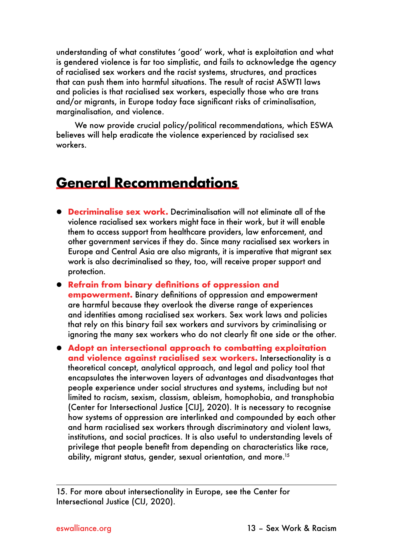understanding of what constitutes 'good' work, what is exploitation and what is gendered violence is far too simplistic, and fails to acknowledge the agency of racialised sex workers and the racist systems, structures, and practices that can push them into harmful situations. The result of racist ASWTI laws and policies is that racialised sex workers, especially those who are trans and/or migrants, in Europe today face significant risks of criminalisation, marginalisation, and violence.

We now provide crucial policy/political recommendations, which ESWA believes will help eradicate the violence experienced by racialised sex workers.

### **General Recommendations**

- **Decriminalise sex work.** Decriminalisation will not eliminate all of the violence racialised sex workers might face in their work, but it will enable them to access support from healthcare providers, law enforcement, and other government services if they do. Since many racialised sex workers in Europe and Central Asia are also migrants, it is imperative that migrant sex work is also decriminalised so they, too, will receive proper support and protection.
- **Refrain from binary definitions of oppression and empowerment.** Binary definitions of oppression and empowerment are harmful because they overlook the diverse range of experiences and identities among racialised sex workers. Sex work laws and policies that rely on this binary fail sex workers and survivors by criminalising or ignoring the many sex workers who do not clearly fit one side or the other.
- **Adopt an intersectional approach to combatting exploitation and violence against racialised sex workers.** Intersectionality is a theoretical concept, analytical approach, and legal and policy tool that encapsulates the interwoven layers of advantages and disadvantages that people experience under social structures and systems, including but not limited to racism, sexism, classism, ableism, homophobia, and transphobia (Center for Intersectional Justice [CIJ], 2020). It is necessary to recognise how systems of oppression are interlinked and compounded by each other and harm racialised sex workers through discriminatory and violent laws, institutions, and social practices. It is also useful to understanding levels of privilege that people benefit from depending on characteristics like race, ability, migrant status, gender, sexual orientation, and more.15

<sup>15.</sup> For more about intersectionality in Europe, see the Center for Intersectional Justice (CIJ, 2020).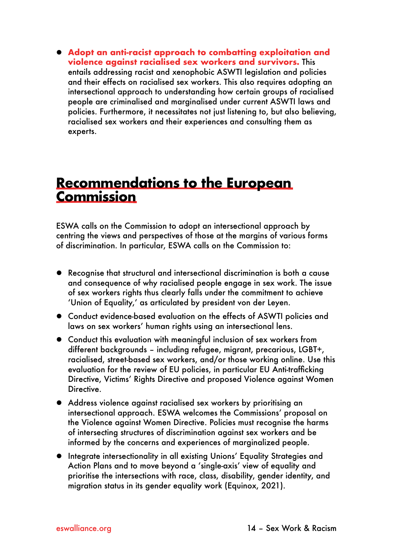z **Adopt an anti-racist approach to combatting exploitation and violence against racialised sex workers and survivors.** This entails addressing racist and xenophobic ASWTI legislation and policies and their effects on racialised sex workers. This also requires adopting an intersectional approach to understanding how certain groups of racialised people are criminalised and marginalised under current ASWTI laws and policies. Furthermore, it necessitates not just listening to, but also believing, racialised sex workers and their experiences and consulting them as experts.

### **Recommendations to the European Commission**

ESWA calls on the Commission to adopt an intersectional approach by centring the views and perspectives of those at the margins of various forms of discrimination. In particular, ESWA calls on the Commission to:

- Recognise that structural and intersectional discrimination is both a cause and consequence of why racialised people engage in sex work. The issue of sex workers rights thus clearly falls under the commitment to achieve 'Union of Equality,' as articulated by president von der Leyen.
- Conduct evidence-based evaluation on the effects of ASWTI policies and laws on sex workers' human rights using an intersectional lens.
- Conduct this evaluation with meaningful inclusion of sex workers from different backgrounds – including refugee, migrant, precarious, LGBT+, racialised, street-based sex workers, and/or those working online. Use this evaluation for the review of EU policies, in particular EU Anti-trafficking Directive, Victims' Rights Directive and proposed Violence against Women Directive.
- Address violence against racialised sex workers by prioritising an intersectional approach. ESWA welcomes the Commissions' proposal on the Violence against Women Directive. Policies must recognise the harms of intersecting structures of discrimination against sex workers and be informed by the concerns and experiences of marginalized people.
- **•** Integrate intersectionality in all existing Unions' Equality Strategies and Action Plans and to move beyond a 'single-axis' view of equality and prioritise the intersections with race, class, disability, gender identity, and migration status in its gender equality work (Equinox, 2021).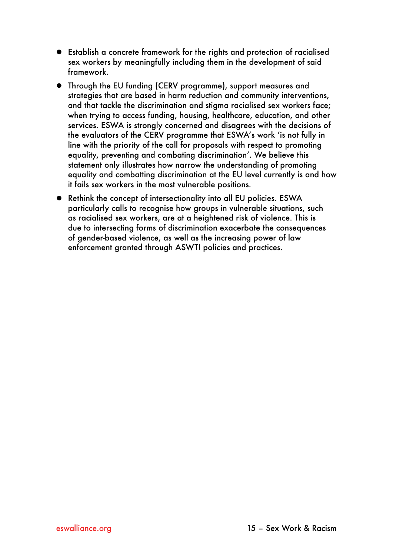- Establish a concrete framework for the rights and protection of racialised sex workers by meaningfully including them in the development of said framework.
- Through the EU funding (CERV programme), support measures and strategies that are based in harm reduction and community interventions, and that tackle the discrimination and stigma racialised sex workers face; when trying to access funding, housing, healthcare, education, and other services. ESWA is strongly concerned and disagrees with the decisions of the evaluators of the CERV programme that ESWA's work 'is not fully in line with the priority of the call for proposals with respect to promoting equality, preventing and combating discrimination'. We believe this statement only illustrates how narrow the understanding of promoting equality and combatting discrimination at the EU level currently is and how it fails sex workers in the most vulnerable positions.
- Rethink the concept of intersectionality into all EU policies. ESWA particularly calls to recognise how groups in vulnerable situations, such as racialised sex workers, are at a heightened risk of violence. This is due to intersecting forms of discrimination exacerbate the consequences of gender-based violence, as well as the increasing power of law enforcement granted through ASWTI policies and practices.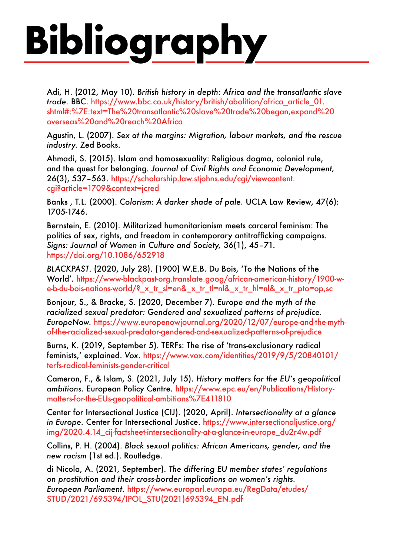# <span id="page-18-0"></span>**Bibliography**

Adi, H. (2012, May 10). *British history in depth: Africa and the transatlantic slave trade.* BBC. [https://www.bbc.co.uk/history/british/abolition/africa\\_article\\_01.](https://www.bbc.co.uk/history/british/abolition/africa_article_01.shtml#:%7E:text=The%20transatlantic%20slave%20trade%20began,expand%20overseas%20and%20reach%20Africa) [shtml#:%7E:text=The%20transatlantic%20slave%20trade%20began,expand%20](https://www.bbc.co.uk/history/british/abolition/africa_article_01.shtml#:%7E:text=The%20transatlantic%20slave%20trade%20began,expand%20overseas%20and%20reach%20Africa) [overseas%20and%20reach%20Africa](https://www.bbc.co.uk/history/british/abolition/africa_article_01.shtml#:%7E:text=The%20transatlantic%20slave%20trade%20began,expand%20overseas%20and%20reach%20Africa)

Agustin, L. (2007). *Sex at the margins: Migration, labour markets, and the rescue industry.* Zed Books.

Ahmadi, S. (2015). Islam and homosexuality: Religious dogma, colonial rule, and the quest for belonging. *Journal of Civil Rights and Economic Development,* 26(3), 537–563. [https://scholarship.law.stjohns.edu/cgi/viewcontent.](https://scholarship.law.stjohns.edu/cgi/viewcontent.cgi?article=1709&context=jcred) [cgi?article=1709&context=jcred](https://scholarship.law.stjohns.edu/cgi/viewcontent.cgi?article=1709&context=jcred)

Banks , T.L. (2000). *Colorism: A darker shade of pale.* UCLA Law Review, 47(6): 1705-1746.

Bernstein, E. (2010). Militarized humanitarianism meets carceral feminism: The politics of sex, rights, and freedom in contemporary antitrafficking campaigns. *Signs: Journal of Women in Culture and Society,* 36(1), 45–71. <https://doi.org/10.1086/652918>

*BLACKPAST*. (2020, July 28). (1900) W.E.B. Du Bois, 'To the Nations of the World'. [https://www-blackpast-org.translate.goog/african-american-history/1900-w](https://www-blackpast-org.translate.goog/african-american-history/1900-w-e-b-du-bois-nations-world/?_x_tr_sl=en&_x_tr_tl=nl&_x_tr_hl=nl&_x_tr_pto=op,sc)[e-b-du-bois-nations-world/?\\_x\\_tr\\_sl=en&\\_x\\_tr\\_tl=nl&\\_x\\_tr\\_hl=nl&\\_x\\_tr\\_pto=op,sc](https://www-blackpast-org.translate.goog/african-american-history/1900-w-e-b-du-bois-nations-world/?_x_tr_sl=en&_x_tr_tl=nl&_x_tr_hl=nl&_x_tr_pto=op,sc)

Bonjour, S., & Bracke, S. (2020, December 7). *Europe and the myth of the racialized sexual predator: Gendered and sexualized patterns of prejudice. EuropeNow.* [https://www.europenowjournal.org/2020/12/07/europe-and-the-myth](https://www.europenowjournal.org/2020/12/07/europe-and-the-myth-of-the-racialized-sexual-predator-gendered-and-sexualized-patterns-of-prejudice/)[of-the-racialized-sexual-predator-gendered-and-sexualized-patterns-of-prejudice](https://www.europenowjournal.org/2020/12/07/europe-and-the-myth-of-the-racialized-sexual-predator-gendered-and-sexualized-patterns-of-prejudice/)

Burns, K. (2019, September 5). TERFs: The rise of 'trans-exclusionary radical feminists,' explained. *Vox*. [https://www.vox.com/identities/2019/9/5/20840101/](https://www.vox.com/identities/2019/9/5/20840101/terfs-radical-feminists-gender-critical) [terfs-radical-feminists-gender-critical](https://www.vox.com/identities/2019/9/5/20840101/terfs-radical-feminists-gender-critical)

Cameron, F., & Islam, S. (2021, July 15). *History matters for the EU's geopolitical ambitions.* European Policy Centre. [https://www.epc.eu/en/Publications/History](https://www.epc.eu/en/Publications/History-matters-for-the-EUs-geopolitical-ambitions~411810)[matters-for-the-EUs-geopolitical-ambitions%7E411810](https://www.epc.eu/en/Publications/History-matters-for-the-EUs-geopolitical-ambitions~411810)

Center for Intersectional Justice (CIJ). (2020, April). *Intersectionality at a glance in Europe.* Center for Intersectional Justice. [https://www.intersectionaljustice.org/](https://www.intersectionaljustice.org/img/2020.4.14_cij-factsheet-intersectionality-at-a-glance-in-europe_du2r4w.pdf) [img/2020.4.14\\_cij-factsheet-intersectionality-at-a-glance-in-europe\\_du2r4w.pdf](https://www.intersectionaljustice.org/img/2020.4.14_cij-factsheet-intersectionality-at-a-glance-in-europe_du2r4w.pdf) 

Collins, P. H. (2004). *Black sexual politics: African Americans, gender, and the new racism* (1st ed.). Routledge.

di Nicola, A. (2021, September). *The differing EU member states' regulations on prostitution and their cross-border implications on women's rights. European Parliament.* [https://www.europarl.europa.eu/RegData/etudes/](https://www.europarl.europa.eu/RegData/etudes/STUD/2021/695394/IPOL_STU(2021)695394_EN.pdf) [STUD/2021/695394/IPOL\\_STU\(2021\)695394\\_EN.pdf](https://www.europarl.europa.eu/RegData/etudes/STUD/2021/695394/IPOL_STU(2021)695394_EN.pdf)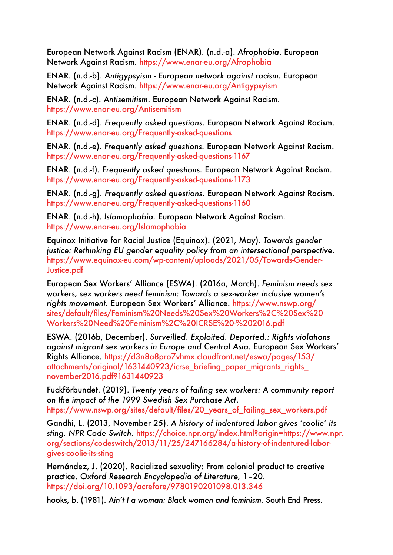European Network Against Racism (ENAR). (n.d.-a). *Afrophobia*. European Network Against Racism. [https://www.enar-eu.org/Afrophobia](https://www.enar-eu.org/Afrophobia/)

ENAR. (n.d.-b). *Antigypsyism - European network against racism.* European Network Against Racism.<https://www.enar-eu.org/Antigypsyism>

ENAR. (n.d.-c). *Antisemitism*. European Network Against Racism. [https://www.enar-eu.org/Antisemitism](https://www.enar-eu.org/Antisemitism ) 

ENAR. (n.d.-d). *Frequently asked questions.* European Network Against Racism. <https://www.enar-eu.org/Frequently-asked-questions>

ENAR. (n.d.-e). *Frequently asked questions.* European Network Against Racism. <https://www.enar-eu.org/Frequently-asked-questions-1167>

ENAR. (n.d.-f). *Frequently asked questions.* European Network Against Racism. [https://www.enar-eu.org/Frequently-asked-questions-1173](https://www.enar-eu.org/Frequently-asked-questions-1173 ) 

ENAR. (n.d.-g). *Frequently asked questions.* European Network Against Racism. [https://www.enar-eu.org/Frequently-asked-questions-1160](https://www.enar-eu.org/Frequently-asked-questions-1160/) 

ENAR. (n.d.-h). *Islamophobia.* European Network Against Racism. [https://www.enar-eu.org/Islamophobia](https://www.enar-eu.org/Islamophobia ) 

Equinox Initiative for Racial Justice (Equinox). (2021, May). *Towards gender justice: Rethinking EU gender equality policy from an intersectional perspective.* [https://www.equinox-eu.com/wp-content/uploads/2021/05/Towards-Gender-](https://www.equinox-eu.com/wp-content/uploads/2021/05/Towards-Gender-Justice.pdf)[Justice.pdf](https://www.equinox-eu.com/wp-content/uploads/2021/05/Towards-Gender-Justice.pdf)

European Sex Workers' Alliance (ESWA). (2016a, March). *Feminism needs sex workers, sex workers need feminism: Towards a sex-worker inclusive women's rights movement.* European Sex Workers' Alliance. [https://www.nswp.org/](https://www.nswp.org/sites/default/files/Feminism%20Needs%20Sex%20Workers%2C%20Sex%20Workers%20Need%20Feminism%2C%20ICRSE%20-%202016.pdf) [sites/default/files/Feminism%20Needs%20Sex%20Workers%2C%20Sex%20](https://www.nswp.org/sites/default/files/Feminism%20Needs%20Sex%20Workers%2C%20Sex%20Workers%20Need%20Feminism%2C%20ICRSE%20-%202016.pdf) [Workers%20Need%20Feminism%2C%20ICRSE%20-%202016.pdf](https://www.nswp.org/sites/default/files/Feminism%20Needs%20Sex%20Workers%2C%20Sex%20Workers%20Need%20Feminism%2C%20ICRSE%20-%202016.pdf) 

ESWA. (2016b, December). *Surveilled. Exploited. Deported.: Rights violations against migrant sex workers in Europe and Central Asia.* European Sex Workers' Rights Alliance. [https://d3n8a8pro7vhmx.cloudfront.net/eswa/pages/153/](https://d3n8a8pro7vhmx.cloudfront.net/eswa/pages/153/attachments/original/1631440923/icrse_briefing_paper_migrants_rights_november2016.pdf?1631440923) [attachments/original/1631440923/icrse\\_briefing\\_paper\\_migrants\\_rights\\_](https://d3n8a8pro7vhmx.cloudfront.net/eswa/pages/153/attachments/original/1631440923/icrse_briefing_paper_migrants_rights_november2016.pdf?1631440923) [november2016.pdf?1631440923](https://d3n8a8pro7vhmx.cloudfront.net/eswa/pages/153/attachments/original/1631440923/icrse_briefing_paper_migrants_rights_november2016.pdf?1631440923)

Fuckförbundet. (2019). *Twenty years of failing sex workers: A community report on the impact of the 1999 Swedish Sex Purchase Act*. [https://www.nswp.org/sites/default/files/20\\_years\\_of\\_failing\\_sex\\_workers.pdf](https://www.nswp.org/sites/default/files/20_years_of_failing_sex_workers.pdf)

Gandhi, L. (2013, November 25). *A history of indentured labor gives 'coolie' its sting. NPR Code Switch.* [https://choice.npr.org/index.html?origin=https://www.npr.](https://choice.npr.org/index.html?origin=https://www.npr.org/sections/codeswitch/2013/11/25/247166284/a-history-of-indentured-labor-gives-coolie-its-sting) [org/sections/codeswitch/2013/11/25/247166284/a-history-of-indentured-labor](https://choice.npr.org/index.html?origin=https://www.npr.org/sections/codeswitch/2013/11/25/247166284/a-history-of-indentured-labor-gives-coolie-its-sting)[gives-coolie-its-sting](https://choice.npr.org/index.html?origin=https://www.npr.org/sections/codeswitch/2013/11/25/247166284/a-history-of-indentured-labor-gives-coolie-its-sting)

Hernández, J. (2020). Racialized sexuality: From colonial product to creative practice. *Oxford Research Encyclopedia of Literature,* 1–20. [https://doi.org/10.1093/acrefore/9780190201098.013.346](https://doi.org/10.1093/acrefore/9780190201098.013.346 ) 

hooks, b. (1981). *Ain't I a woman: Black women and feminism.* South End Press.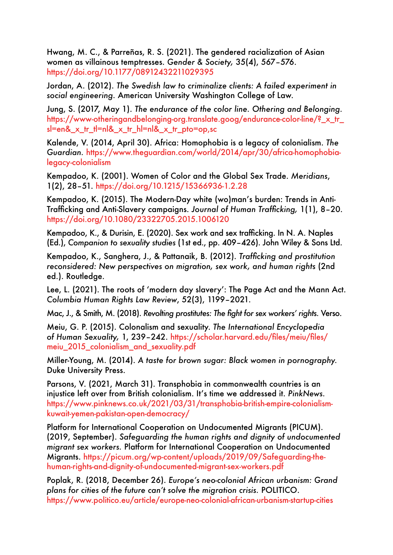Hwang, M. C., & Parreñas, R. S. (2021). The gendered racialization of Asian women as villainous temptresses. *Gender & Society,* 35(4), 567–576. [https://doi.org/10.1177/08912432211029395](https://doi.org/10.1177/08912432211029395 ) 

Jordan, A. (2012). *The Swedish law to criminalize clients: A failed experiment in social engineering.* American University Washington College of Law.

Jung, S. (2017, May 1). *The endurance of the color line. Othering and Belonging.* https://www-otheringandbelonging-org.translate.goog/endurance-color-line/? x tr [sl=en&\\_x\\_tr\\_tl=nl&\\_x\\_tr\\_hl=nl&\\_x\\_tr\\_pto=op,sc](https://www-otheringandbelonging-org.translate.goog/endurance-color-line/?_x_tr_sl=en&_x_tr_tl=nl&_x_tr_hl=nl&_x_tr_pto=op,sc)

Kalende, V. (2014, April 30). Africa: Homophobia is a legacy of colonialism. *The Guardian.* [https://www.theguardian.com/world/2014/apr/30/africa-homophobia](https://www.theguardian.com/world/2014/apr/30/africa-homophobia-legacy-colonialism)[legacy-colonialism](https://www.theguardian.com/world/2014/apr/30/africa-homophobia-legacy-colonialism)

Kempadoo, K. (2001). Women of Color and the Global Sex Trade. *Meridians*, 1(2), 28–51. <https://doi.org/10.1215/15366936-1.2.28>

Kempadoo, K. (2015). The Modern-Day white (wo)man's burden: Trends in Anti-Trafficking and Anti-Slavery campaigns. *Journal of Human Trafficking,* 1(1), 8–20. <https://doi.org/10.1080/23322705.2015.1006120>

Kempadoo, K., & Durisin, E. (2020). Sex work and sex trafficking. In N. A. Naples (Ed.), *Companion to sexuality studies* (1st ed., pp. 409–426). John Wiley & Sons Ltd.

Kempadoo, K., Sanghera, J., & Pattanaik, B. (2012). *Trafficking and prostitution reconsidered: New perspectives on migration, sex work, and human rights* (2nd ed.). Routledge.

Lee, L. (2021). The roots of 'modern day slavery': The Page Act and the Mann Act. *Columbia Human Rights Law Review*, 52(3), 1199–2021.

Mac, J., & Smith, M. (2018). *Revolting prostitutes: The fight for sex workers' rights.* Verso.

Meiu, G. P. (2015). Colonalism and sexuality. *The International Encyclopedia of Human Sexuality,* 1, 239–242. [https://scholar.harvard.edu/files/meiu/files/](https://scholar.harvard.edu/files/meiu/files/meiu_2015_colonialism_and_sexuality.pdf) [meiu\\_2015\\_colonialism\\_and\\_sexuality.pdf](https://scholar.harvard.edu/files/meiu/files/meiu_2015_colonialism_and_sexuality.pdf) 

Miller-Young, M. (2014). *A taste for brown sugar: Black women in pornography.*  Duke University Press.

Parsons, V. (2021, March 31). Transphobia in commonwealth countries is an injustice left over from British colonialism. It's time we addressed it. *PinkNews.*  [https://www.pinknews.co.uk/2021/03/31/transphobia-british-empire-colonialism](https://www.pinknews.co.uk/2021/03/31/transphobia-british-empire-colonialism-kuwait-yemen-pakistan-open-democracy/)[kuwait-yemen-pakistan-open-democracy/](https://www.pinknews.co.uk/2021/03/31/transphobia-british-empire-colonialism-kuwait-yemen-pakistan-open-democracy/)

Platform for International Cooperation on Undocumented Migrants (PICUM). (2019, September). *Safeguarding the human rights and dignity of undocumented migrant sex workers.* Platform for International Cooperation on Undocumented Migrants. [https://picum.org/wp-content/uploads/2019/09/Safeguarding-the](https://picum.org/wp-content/uploads/2019/09/Safeguarding-the-human-rights-and-dignity-of-undocumented-migrant-sex-workers.pdf)[human-rights-and-dignity-of-undocumented-migrant-sex-workers.pdf](https://picum.org/wp-content/uploads/2019/09/Safeguarding-the-human-rights-and-dignity-of-undocumented-migrant-sex-workers.pdf)

Poplak, R. (2018, December 26). *Europe's neo-colonial African urbanism: Grand plans for cities of the future can't solve the migration crisis.* POLITICO. [https://www.politico.eu/article/europe-neo-colonial-african-urbanism-startup-cities](https://www.politico.eu/article/europe-neo-colonial-african-urbanism-startup-cities/)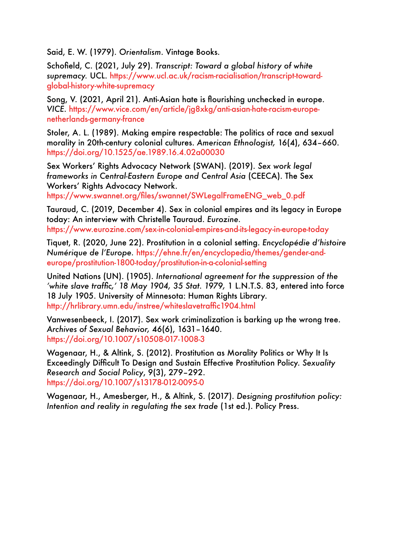Said, E. W. (1979). *Orientalism*. Vintage Books.

Schofield, C. (2021, July 29). *Transcript: Toward a global history of white supremacy.* UCL. [https://www.ucl.ac.uk/racism-racialisation/transcript-toward](https://www.ucl.ac.uk/racism-racialisation/transcript-toward-global-history-white-supremacy)[global-history-white-supremacy](https://www.ucl.ac.uk/racism-racialisation/transcript-toward-global-history-white-supremacy)

Song, V. (2021, April 21). Anti-Asian hate is flourishing unchecked in europe. *VICE*. [https://www.vice.com/en/article/jg8xkg/anti-asian-hate-racism-europe](https://www.vice.com/en/article/jg8xkg/anti-asian-hate-racism-europe-netherlands-germany-france)[netherlands-germany-france](https://www.vice.com/en/article/jg8xkg/anti-asian-hate-racism-europe-netherlands-germany-france)

Stoler, A. L. (1989). Making empire respectable: The politics of race and sexual morality in 20th-century colonial cultures. *American Ethnologist,* 16(4), 634–660. <https://doi.org/10.1525/ae.1989.16.4.02a00030>

Sex Workers' Rights Advocacy Network (SWAN). (2019). *Sex work legal frameworks in Central-Eastern Europe and Central Asia* (CEECA). The Sex Workers' Rights Advocacy Network.

[https://www.swannet.org/files/swannet/SWLegalFrameENG\\_web\\_0.pdf](https://www.swannet.org/files/swannet/SWLegalFrameENG_web_0.pdf)

Tauraud, C. (2019, December 4). Sex in colonial empires and its legacy in Europe today: An interview with Christelle Tauraud. *Eurozine.*  [https://www.eurozine.com/sex-in-colonial-empires-and-its-legacy-in-europe-today](https://www.eurozine.com/sex-in-colonial-empires-and-its-legacy-in-europe-today/)

Tiquet, R. (2020, June 22). Prostitution in a colonial setting. *Encyclopédie d'histoire Numérique de l'Europe.* [https://ehne.fr/en/encyclopedia/themes/gender-and](https://ehne.fr/en/encyclopedia/themes/gender-and-europe/prostitution-1800-today/prostitution-in-a-colonial-setting)[europe/prostitution-1800-today/prostitution-in-a-colonial-setting](https://ehne.fr/en/encyclopedia/themes/gender-and-europe/prostitution-1800-today/prostitution-in-a-colonial-setting)

United Nations (UN). (1905). *International agreement for the suppression of the 'white slave traffic,' 18 May 1904, 35 Stat. 1979,* 1 L.N.T.S. 83, entered into force 18 July 1905. University of Minnesota: Human Rights Library. <http://hrlibrary.umn.edu/instree/whiteslavetraffic1904.html>

Vanwesenbeeck, I. (2017). Sex work criminalization is barking up the wrong tree. *Archives of Sexual Behavior,* 46(6), 1631–1640. [https://doi.org/10.1007/s10508-017-1008-3](https://link.springer.com/article/10.1007/s10508-017-1008-3) 

Wagenaar, H., & Altink, S. (2012). Prostitution as Morality Politics or Why It Is Exceedingly Difficult To Design and Sustain Effective Prostitution Policy. *Sexuality Research and Social Policy*, 9(3), 279–292. [https://doi.org/10.1007/s13178-012-0095-0](https://link.springer.com/article/10.1007/s13178-012-0095-0)

Wagenaar, H., Amesberger, H., & Altink, S. (2017). *Designing prostitution policy: Intention and reality in regulating the sex trade* (1st ed.). Policy Press.